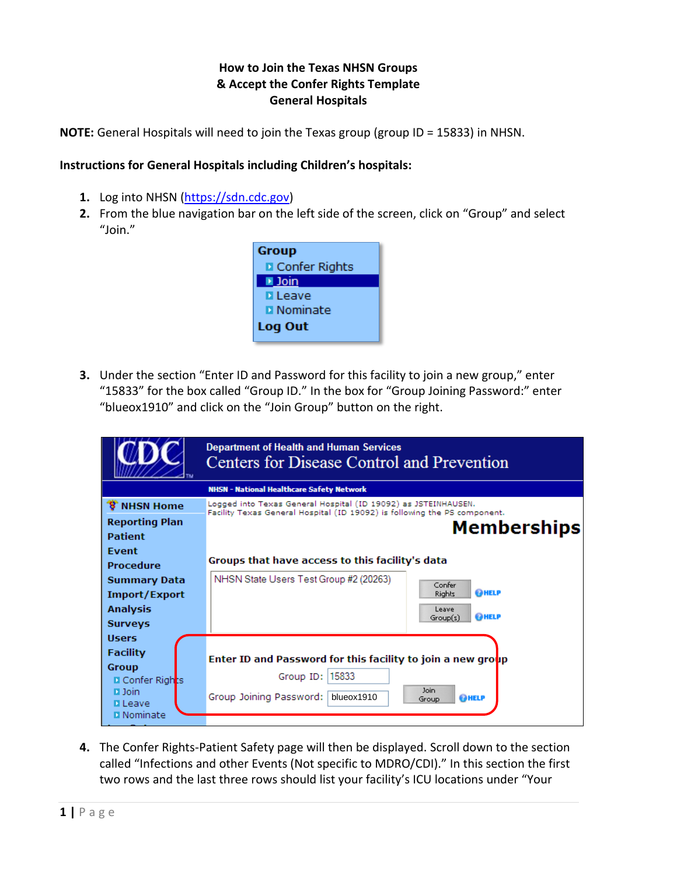## **How to Join the Texas NHSN Groups & Accept the Confer Rights Template General Hospitals**

**NOTE:** General Hospitals will need to join the Texas group (group ID = 15833) in NHSN.

## **Instructions for General Hospitals including Children's hospitals:**

- **1.** Log into NHSN [\(https://sdn.cdc.gov\)](https://sdn.cdc.gov/)
- **2.** From the blue navigation bar on the left side of the screen, click on "Group" and select "Join."



**3.** Under the section "Enter ID and Password for this facility to join a new group," enter "15833" for the box called "Group ID." In the box for "Group Joining Password:" enter "blueox1910" and click on the "Join Group" button on the right.

|                                 | <b>Department of Health and Human Services</b><br>Centers for Disease Control and Prevention                                                |                        |  |  |  |  |
|---------------------------------|---------------------------------------------------------------------------------------------------------------------------------------------|------------------------|--|--|--|--|
|                                 | <b>NHSN - National Healthcare Safety Network</b>                                                                                            |                        |  |  |  |  |
| <b>8 NHSN Home</b>              | Logged into Texas General Hospital (ID 19092) as JSTEINHAUSEN.<br>Facility Texas General Hospital (ID 19092) is following the PS component. |                        |  |  |  |  |
| <b>Reporting Plan</b>           |                                                                                                                                             |                        |  |  |  |  |
| <b>Patient</b>                  |                                                                                                                                             | <b>Memberships</b>     |  |  |  |  |
| Event                           |                                                                                                                                             |                        |  |  |  |  |
| <b>Procedure</b>                | Groups that have access to this facility's data                                                                                             |                        |  |  |  |  |
| Summary Data                    | NHSN State Users Test Group #2 (20263)                                                                                                      | Confer                 |  |  |  |  |
| Import/Export                   |                                                                                                                                             | <b>@HELP</b><br>Rights |  |  |  |  |
| Analysis                        |                                                                                                                                             | Leave<br>OHELP         |  |  |  |  |
| <b>Surveys</b>                  |                                                                                                                                             | Group(s)               |  |  |  |  |
| <b>Users</b>                    |                                                                                                                                             |                        |  |  |  |  |
| <b>Facility</b>                 | Enter ID and Password for this facility to join a new group                                                                                 |                        |  |  |  |  |
| Group                           |                                                                                                                                             |                        |  |  |  |  |
| <b>D</b> Confer Rights          | 15833<br>Group ID:                                                                                                                          | <b>Join</b>            |  |  |  |  |
| <b>D</b> Join<br><b>D</b> Leave | Group Joining Password:<br>blueox1910                                                                                                       | <b>@HELP</b><br>Group  |  |  |  |  |
| <b>D</b> Nominate               |                                                                                                                                             |                        |  |  |  |  |
|                                 |                                                                                                                                             |                        |  |  |  |  |

**4.** The Confer Rights-Patient Safety page will then be displayed. Scroll down to the section called "Infections and other Events (Not specific to MDRO/CDI)." In this section the first two rows and the last three rows should list your facility's ICU locations under "Your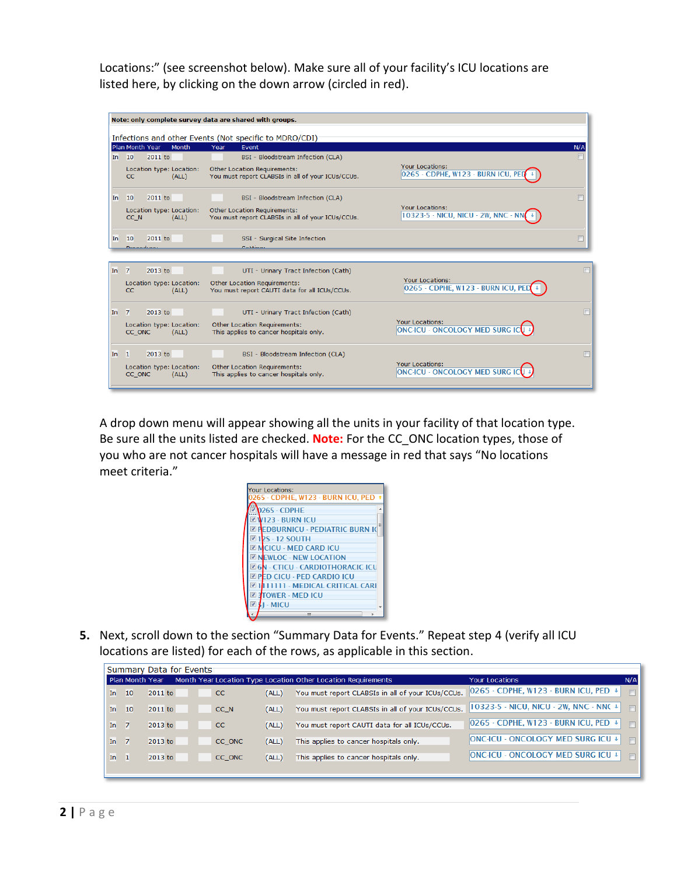Locations:" (see screenshot below). Make sure all of your facility's ICU locations are listed here, by clicking on the down arrow (circled in red).



A drop down menu will appear showing all the units in your facility of that location type. Be sure all the units listed are checked. **Note:** For the CC\_ONC location types, those of you who are not cancer hospitals will have a message in red that says "No locations meet criteria."



**5.** Next, scroll down to the section "Summary Data for Events." Repeat step 4 (verify all ICU locations are listed) for each of the rows, as applicable in this section.

|     |                 |         | Summary Data for Events |               |       |                                                               |                                             |        |
|-----|-----------------|---------|-------------------------|---------------|-------|---------------------------------------------------------------|---------------------------------------------|--------|
|     | Plan Month Year |         |                         |               |       | Month Year Location Type Location Other Location Requirements | Your Locations                              | N/A    |
| In. | 10              | 2011 to |                         | <sub>CC</sub> | (ALL) | You must report CLABSIs in all of your ICUs/CCUs.             | $ 0265 \cdot$ CDPHE, W123 ⋅ BURN ICU, PED ↓ | $\Box$ |
| In  | 10              | 2011 to |                         | CC N          | (ALL) | You must report CLABSIs in all of your ICUs/CCUs.             | 10323-5 - NICU, NICU - 2W, NNC - NNC +      | $\Box$ |
| In  | -7              | 2013 to |                         | CC.           | (ALL) | You must report CAUTI data for all ICUs/CCUs.                 | 0265 - CDPHE, W123 - BURN ICU, PED +        | $\Box$ |
| In. | - 7             | 2013 to |                         | CC ONC        | (ALL) | This applies to cancer hospitals only.                        | <b>ONC-ICU - ONCOLOGY MED SURG ICU +</b>    | $\Box$ |
| In. | -1              | 2013 to |                         | CC ONC        | (ALL) | This applies to cancer hospitals only.                        | <b>ONC-ICU - ONCOLOGY MED SURG ICU +</b>    | $\Box$ |
|     |                 |         |                         |               |       |                                                               |                                             |        |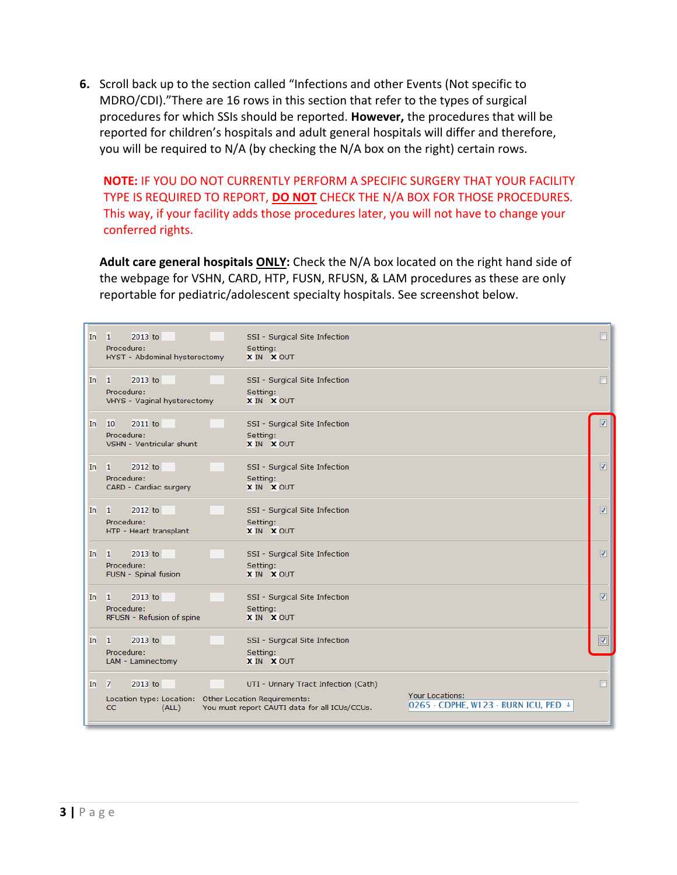**6.** Scroll back up to the section called "Infections and other Events (Not specific to MDRO/CDI)."There are 16 rows in this section that refer to the types of surgical procedures for which SSIs should be reported. **However,** the procedures that will be reported for children's hospitals and adult general hospitals will differ and therefore, you will be required to N/A (by checking the N/A box on the right) certain rows.

**NOTE:** IF YOU DO NOT CURRENTLY PERFORM A SPECIFIC SURGERY THAT YOUR FACILITY TYPE IS REQUIRED TO REPORT, **DO NOT** CHECK THE N/A BOX FOR THOSE PROCEDURES. This way, if your facility adds those procedures later, you will not have to change your conferred rights.

**Adult care general hospitals ONLY:** Check the N/A box located on the right hand side of the webpage for VSHN, CARD, HTP, FUSN, RFUSN, & LAM procedures as these are only reportable for pediatric/adolescent specialty hospitals. See screenshot below.

| In. | 2013 to<br>-1<br>Procedure:<br>HYST - Abdominal hysterectomy                                             | SSI - Surgical Site Infection<br>Setting:<br>X IN X OUT                               |                                                          |                         |
|-----|----------------------------------------------------------------------------------------------------------|---------------------------------------------------------------------------------------|----------------------------------------------------------|-------------------------|
| In. | 2013 to<br>-1<br>Procedure:<br>VHYS - Vaginal hysterectomy                                               | SSI - Surgical Site Infection<br>Setting:<br><b>X IN X OUT</b>                        |                                                          | F                       |
| In. | 2011 to<br>10<br>Procedure:<br>VSHN - Ventricular shunt                                                  | SSI - Surgical Site Infection<br>Setting:<br>X IN X OUT                               |                                                          | $\overline{v}$          |
| In. | 2012 to<br>-1<br>Procedure:<br>CARD - Cardiac surgery                                                    | SSI - Surgical Site Infection<br>Setting:<br><b>X IN X OUT</b>                        |                                                          | $\overline{v}$          |
| In. | 2012 to<br>-1<br>Procedure:<br>HTP - Heart transplant                                                    | SSI - Surgical Site Infection<br>Setting:<br>X IN X OUT                               |                                                          | $\overline{\mathbf{v}}$ |
| In. | 2013 to<br>$\mathbf{1}$<br>Procedure:<br>FUSN - Spinal fusion                                            | SSI - Surgical Site Infection<br>Setting:<br>X IN X OUT                               |                                                          | $\overline{v}$          |
| In. | 2013 to<br>-1<br>Procedure:<br>RFUSN - Refusion of spine                                                 | SSI - Surgical Site Infection<br>Setting:<br><b>X IN X OUT</b>                        |                                                          | $\overline{v}$          |
| In. | 2013 to<br>-1<br>Procedure:<br>LAM - Laminectomy                                                         | SSI - Surgical Site Infection<br>Setting:<br><b>X IN X OUT</b>                        |                                                          | $\overline{v}$          |
| In. | 2013 to<br>$\overline{7}$<br>Location type: Location: Other Location Requirements:<br><b>CC</b><br>(ALL) | UTI - Urinary Tract Infection (Cath)<br>You must report CAUTI data for all ICUs/CCUs. | Your Locations:<br> 0265 - CDPHE, W123 - BURN ICU, PED + |                         |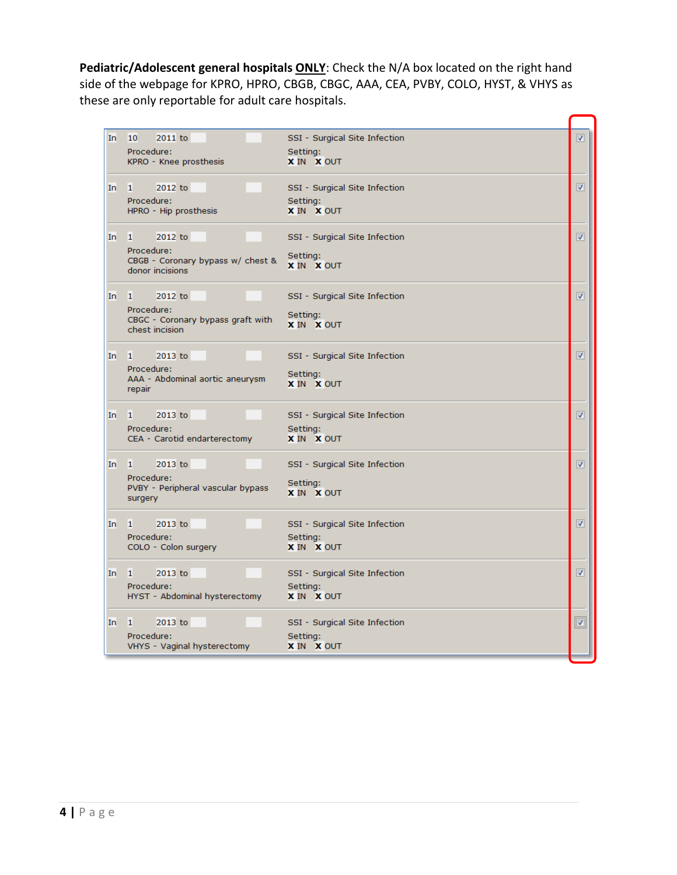**Pediatric/Adolescent general hospitals ONLY**: Check the N/A box located on the right hand side of the webpage for KPRO, HPRO, CBGB, CBGC, AAA, CEA, PVBY, COLO, HYST, & VHYS as these are only reportable for adult care hospitals.

| In. | 10<br>2011 to                                   | SSI - Surgical Site Infection | $\overline{\mathbf{v}}$ |
|-----|-------------------------------------------------|-------------------------------|-------------------------|
|     | Procedure:                                      | Setting:                      |                         |
|     | KPRO - Knee prosthesis                          | X IN X OUT                    |                         |
|     |                                                 |                               |                         |
| In. | 1<br>2012 to                                    | SSI - Surgical Site Infection | $\overline{\mathbf{v}}$ |
|     | Procedure:<br>HPRO - Hip prosthesis             | Setting:<br>X IN X OUT        |                         |
|     |                                                 |                               |                         |
| In. | 1<br>2012 to                                    | SSI - Surgical Site Infection | $\overline{\mathbf{v}}$ |
|     | Procedure:                                      |                               |                         |
|     | CBGB - Coronary bypass w/ chest &               | Setting:<br>X IN X OUT        |                         |
|     | donor incisions                                 |                               |                         |
|     |                                                 |                               |                         |
| In  | 2012 to<br>1                                    | SSI - Surgical Site Infection | $\overline{\mathbf{v}}$ |
|     | Procedure:<br>CBGC - Coronary bypass graft with | Setting:                      |                         |
|     | chest incision                                  | X IN X OUT                    |                         |
|     |                                                 |                               |                         |
| In. | 1.<br>2013 to                                   | SSI - Surgical Site Infection | $\overline{\mathsf{v}}$ |
|     | Procedure:                                      |                               |                         |
|     | AAA - Abdominal aortic aneurysm                 | Setting:<br>X IN X OUT        |                         |
|     | repair                                          |                               |                         |
| In. | 2013 to<br>1                                    | SSI - Surgical Site Infection | $\overline{\mathbf{v}}$ |
|     | Procedure:                                      | Setting:                      |                         |
|     | CEA - Carotid endarterectomy                    | <b>X IN X OUT</b>             |                         |
|     |                                                 |                               |                         |
| In. | 1<br>2013 to                                    | SSI - Surgical Site Infection | $\overline{\mathbf{v}}$ |
|     | Procedure:                                      |                               |                         |
|     | PVBY - Peripheral vascular bypass               | Setting:<br><b>X IN X OUT</b> |                         |
|     | surgery                                         |                               |                         |
| In. | 2013 to<br>1                                    | SSI - Surgical Site Infection | $\overline{\mathbf{v}}$ |
|     | Procedure:                                      | Setting:                      |                         |
|     | COLO - Colon surgery                            | <b>X IN X OUT</b>             |                         |
|     |                                                 |                               |                         |
| In. | п.<br>2013 to                                   | SSI - Surgical Site Infection | $\overline{\mathbf{v}}$ |
|     | Procedure:                                      | Setting:                      |                         |
|     | HYST - Abdominal hysterectomy                   | X IN X OUT                    |                         |
|     |                                                 |                               |                         |
| In. | 2013 to<br>1                                    | SSI - Surgical Site Infection | $\boxed{\mathbf{z}}$    |
|     | Procedure:                                      | Setting:                      |                         |
|     | VHYS - Vaginal hysterectomy                     | <b>X IN X OUT</b>             |                         |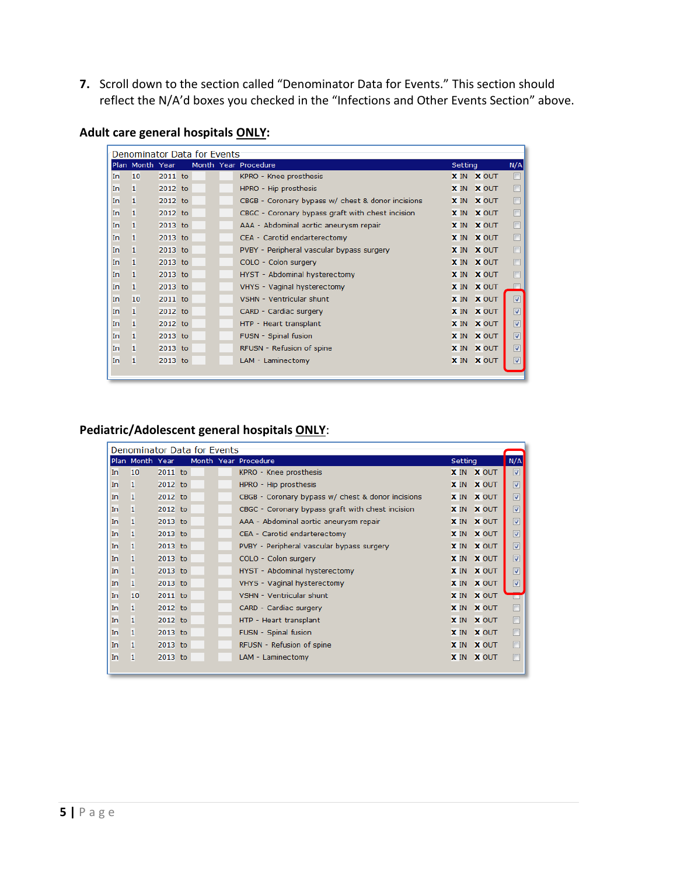**7.** Scroll down to the section called "Denominator Data for Events." This section should reflect the N/A'd boxes you checked in the "Infections and Other Events Section" above.

|           | Denominator Data for Events |         |  |  |                                                   |         |                   |                         |  |  |
|-----------|-----------------------------|---------|--|--|---------------------------------------------------|---------|-------------------|-------------------------|--|--|
|           | Plan Month Year             |         |  |  | Month Year Procedure                              | Setting |                   | N/A                     |  |  |
| In.       | 10                          | 2011 to |  |  | KPRO - Knee prosthesis                            |         | <b>X IN X OUT</b> | П                       |  |  |
| In.       | 1                           | 2012 to |  |  | HPRO - Hip prosthesis                             |         | X IN X OUT        | П                       |  |  |
| In.       | 1                           | 2012 to |  |  | CBGB - Coronary bypass w/ chest & donor incisions |         | X IN X OUT        | П                       |  |  |
| In.       | 1                           | 2012 to |  |  | CBGC - Coronary bypass graft with chest incision  |         | X IN X OUT        | $\Box$                  |  |  |
| <b>In</b> | 1                           | 2013 to |  |  | AAA - Abdominal aortic aneurysm repair            |         | X IN X OUT        | $\Box$                  |  |  |
| In.       | 1                           | 2013 to |  |  | CEA - Carotid endarterectomy                      |         | X IN X OUT        | $\Box$                  |  |  |
| In.       | 1                           | 2013 to |  |  | PVBY - Peripheral vascular bypass surgery         |         | X IN X OUT        | П                       |  |  |
| In.       | 1                           | 2013 to |  |  | COLO - Colon surgery                              |         | X IN X OUT        | П                       |  |  |
| In.       | 1                           | 2013 to |  |  | HYST - Abdominal hysterectomy                     |         | X IN X OUT        | П                       |  |  |
| In.       | 1                           | 2013 to |  |  | VHYS - Vaginal hysterectomy                       |         | X IN X OUT        |                         |  |  |
| In.       | 10                          | 2011 to |  |  | <b>VSHN - Ventricular shunt</b>                   |         | X IN X OUT        | $\overline{v}$          |  |  |
| In.       | 1                           | 2012 to |  |  | CARD - Cardiac surgery                            |         | <b>X IN X OUT</b> | $\overline{\mathsf{v}}$ |  |  |
| In.       | 1                           | 2012 to |  |  | HTP - Heart transplant                            |         | X IN X OUT        | $\overline{\mathsf{v}}$ |  |  |
| In.       | 1                           | 2013 to |  |  | FUSN - Spinal fusion                              |         | <b>X IN X OUT</b> | $\overline{\mathsf{v}}$ |  |  |
| In.       | 1                           | 2013 to |  |  | RFUSN - Refusion of spine                         |         | X IN X OUT        | $\overline{\mathsf{v}}$ |  |  |
| In.       | 1                           | 2013 to |  |  | LAM - Laminectomy                                 |         | X IN X OUT        | ⊽                       |  |  |
|           |                             |         |  |  |                                                   |         |                   |                         |  |  |

## **Adult care general hospitals ONLY:**

## **Pediatric/Adolescent general hospitals ONLY**:

| Denominator Data for Events |                 |         |  |  |                                                   |             |              |                         |  |
|-----------------------------|-----------------|---------|--|--|---------------------------------------------------|-------------|--------------|-------------------------|--|
|                             | Plan Month Year |         |  |  | Month Year Procedure                              | Setting     |              | N/A                     |  |
| In.                         | 10              | 2011 to |  |  | KPRO - Knee prosthesis                            |             | X IN X OUT   | ▽                       |  |
| In.                         | 1               | 2012 to |  |  | HPRO - Hip prosthesis                             | <b>X</b> IN | <b>X OUT</b> | $\overline{\mathsf{v}}$ |  |
| In.                         | 1               | 2012 to |  |  | CBGB - Coronary bypass w/ chest & donor incisions | <b>X</b> IN | <b>X OUT</b> | $\overline{\mathsf{v}}$ |  |
| In.                         | 1               | 2012 to |  |  | CBGC - Coronary bypass graft with chest incision  | <b>X</b> IN | <b>X OUT</b> | $\overline{\mathsf{v}}$ |  |
| In.                         | 1               | 2013 to |  |  | AAA - Abdominal aortic aneurysm repair            | <b>X</b> IN | <b>X OUT</b> | $\overline{\mathbf{v}}$ |  |
| In.                         | 1               | 2013 to |  |  | CEA - Carotid endarterectomy                      | <b>X</b> IN | <b>X OUT</b> | $\overline{\mathbf{v}}$ |  |
| In.                         | 1               | 2013 to |  |  | PVBY - Peripheral vascular bypass surgery         | <b>X</b> IN | <b>X OUT</b> | $\overline{\mathsf{v}}$ |  |
| In.                         | 1               | 2013 to |  |  | COLO - Colon surgery                              | <b>X</b> IN | <b>X OUT</b> | $\overline{\mathsf{v}}$ |  |
| In.                         | 1               | 2013 to |  |  | HYST - Abdominal hysterectomy                     | <b>X</b> IN | <b>X OUT</b> | $\overline{\mathsf{v}}$ |  |
| In.                         | 1               | 2013 to |  |  | VHYS - Vaginal hysterectomy                       | <b>X</b> IN | <b>X OUT</b> | $\overline{\mathsf{v}}$ |  |
| In.                         | 10              | 2011 to |  |  | VSHN - Ventricular shunt                          | <b>X</b> IN | <b>X OUT</b> | <b>TELE</b>             |  |
| In.                         | 1               | 2012 to |  |  | CARD - Cardiac surgery                            | <b>X</b> IN | <b>X OUT</b> | F                       |  |
| In.                         | 1               | 2012 to |  |  | HTP - Heart transplant                            |             | X IN X OUT   | $\Box$                  |  |
| In.                         | 1               | 2013 to |  |  | FUSN - Spinal fusion                              | <b>X</b> IN | <b>X OUT</b> | $\Box$                  |  |
| In.                         | 1               | 2013 to |  |  | RFUSN - Refusion of spine                         | <b>X</b> IN | <b>X OUT</b> | $\Box$                  |  |
| In.                         | 1               | 2013 to |  |  | LAM - Laminectomy                                 |             | X IN X OUT   | $\Box$                  |  |
|                             |                 |         |  |  |                                                   |             |              |                         |  |